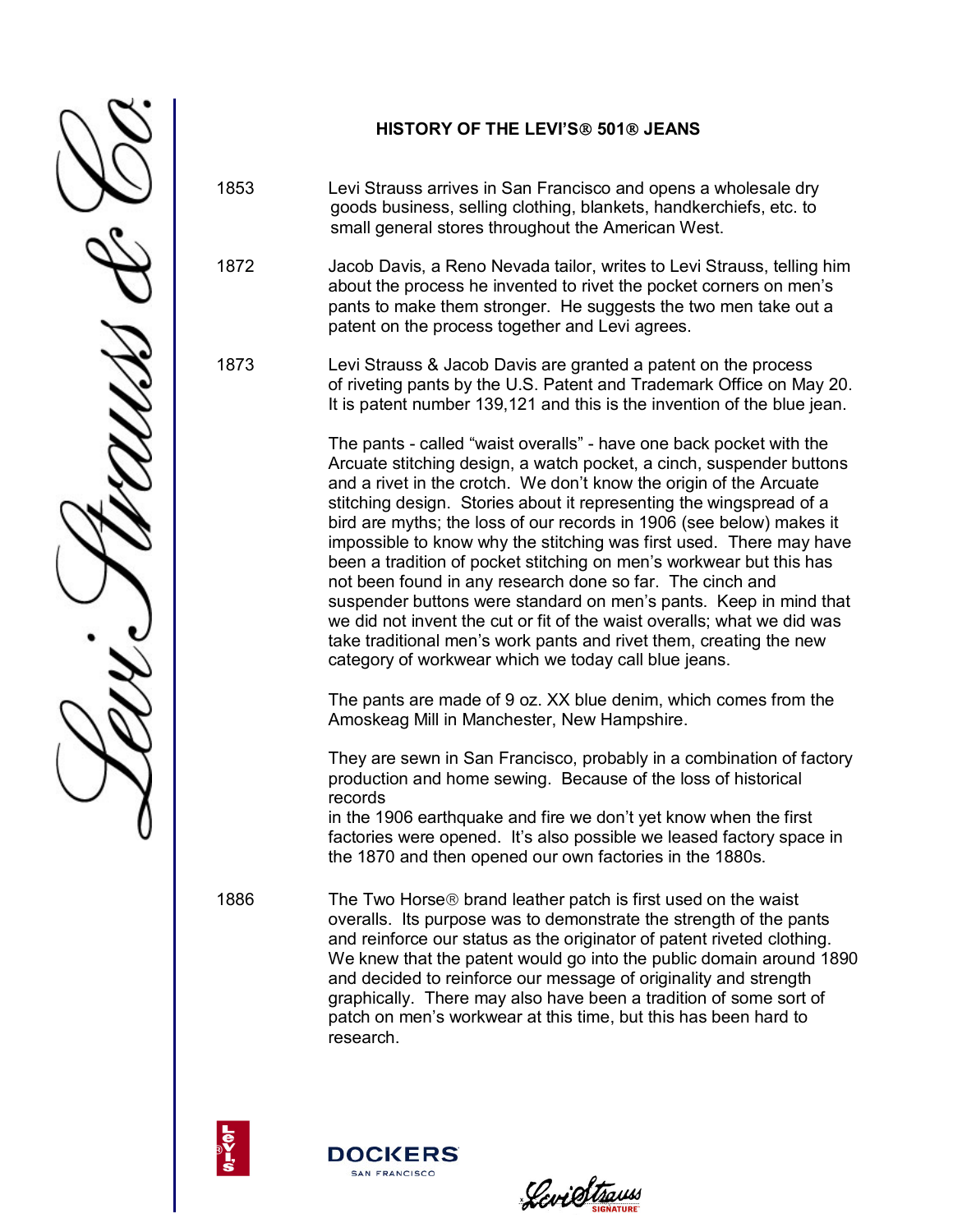

## **HISTORY OF THE LEVI'S 501 JEANS**

1853 Levi Strauss arrives in San Francisco and opens a wholesale dry goods business, selling clothing, blankets, handkerchiefs, etc. to small general stores throughout the American West.

1872 Jacob Davis, a Reno Nevada tailor, writes to Levi Strauss, telling him about the process he invented to rivet the pocket corners on men's pants to make them stronger. He suggests the two men take out a patent on the process together and Levi agrees.

1873 Levi Strauss & Jacob Davis are granted a patent on the process of riveting pants by the U.S. Patent and Trademark Office on May 20. It is patent number 139,121 and this is the invention of the blue jean.

> The pants - called "waist overalls" - have one back pocket with the Arcuate stitching design, a watch pocket, a cinch, suspender buttons and a rivet in the crotch. We don't know the origin of the Arcuate stitching design. Stories about it representing the wingspread of a bird are myths; the loss of our records in 1906 (see below) makes it impossible to know why the stitching was first used. There may have been a tradition of pocket stitching on men's workwear but this has not been found in any research done so far. The cinch and suspender buttons were standard on men's pants. Keep in mind that we did not invent the cut or fit of the waist overalls; what we did was take traditional men's work pants and rivet them, creating the new category of workwear which we today call blue jeans.

The pants are made of 9 oz. XX blue denim, which comes from the Amoskeag Mill in Manchester, New Hampshire.

They are sewn in San Francisco, probably in a combination of factory production and home sewing. Because of the loss of historical records

in the 1906 earthquake and fire we don't yet know when the first factories were opened. It's also possible we leased factory space in the 1870 and then opened our own factories in the 1880s.

1886 The Two Horse<sup>®</sup> brand leather patch is first used on the waist overalls. Its purpose was to demonstrate the strength of the pants and reinforce our status as the originator of patent riveted clothing. We knew that the patent would go into the public domain around 1890 and decided to reinforce our message of originality and strength graphically. There may also have been a tradition of some sort of patch on men's workwear at this time, but this has been hard to research.





LeviStrauss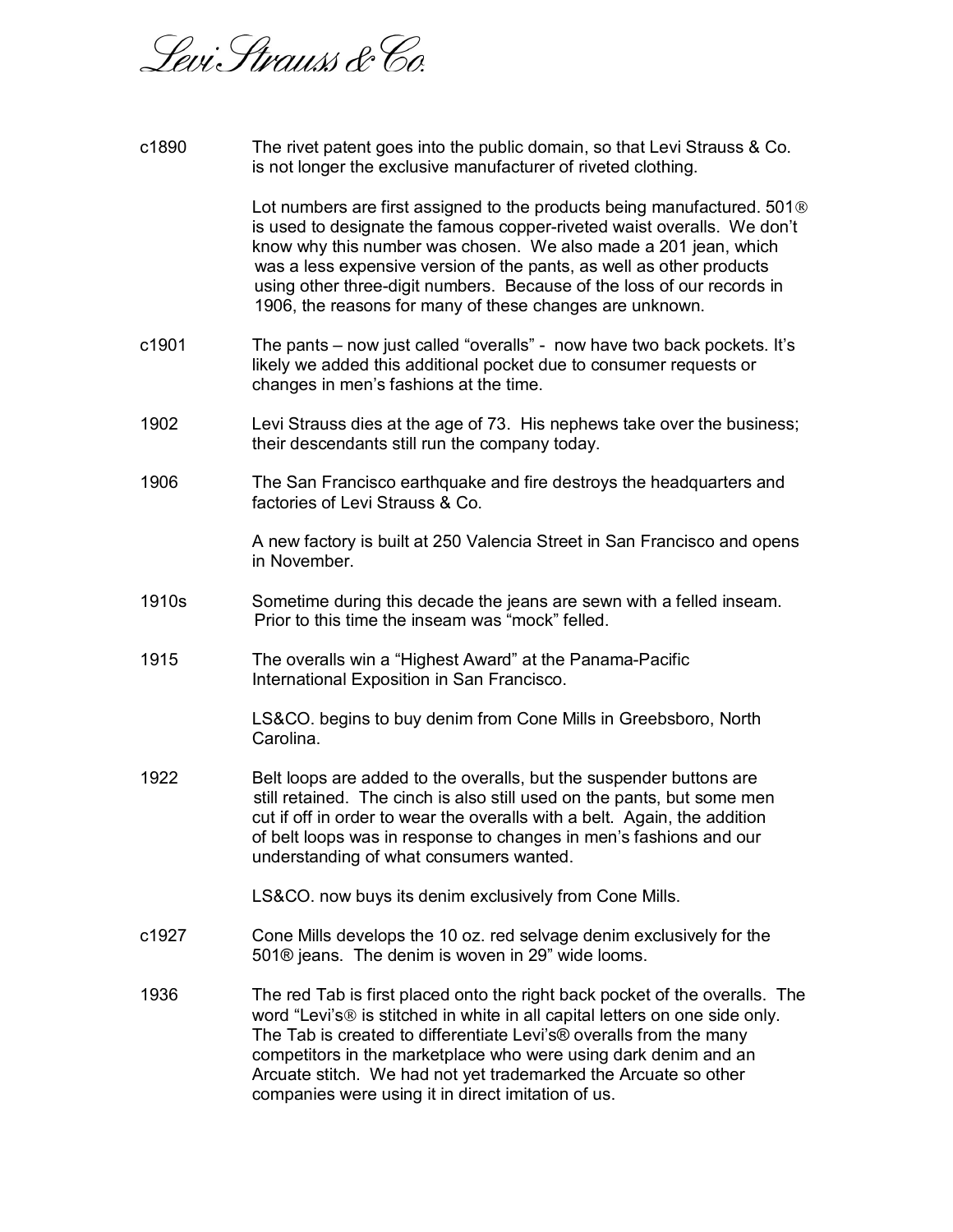

| c1890 | The rivet patent goes into the public domain, so that Levi Strauss & Co.<br>is not longer the exclusive manufacturer of riveted clothing.                                                                                                                                                                                                                                                                                                       |
|-------|-------------------------------------------------------------------------------------------------------------------------------------------------------------------------------------------------------------------------------------------------------------------------------------------------------------------------------------------------------------------------------------------------------------------------------------------------|
|       | Lot numbers are first assigned to the products being manufactured. 501 <sup>®</sup><br>is used to designate the famous copper-riveted waist overalls. We don't<br>know why this number was chosen. We also made a 201 jean, which<br>was a less expensive version of the pants, as well as other products<br>using other three-digit numbers. Because of the loss of our records in<br>1906, the reasons for many of these changes are unknown. |
| c1901 | The pants – now just called "overalls" - now have two back pockets. It's<br>likely we added this additional pocket due to consumer requests or<br>changes in men's fashions at the time.                                                                                                                                                                                                                                                        |
| 1902  | Levi Strauss dies at the age of 73. His nephews take over the business;<br>their descendants still run the company today.                                                                                                                                                                                                                                                                                                                       |
| 1906  | The San Francisco earthquake and fire destroys the headquarters and<br>factories of Levi Strauss & Co.                                                                                                                                                                                                                                                                                                                                          |
|       | A new factory is built at 250 Valencia Street in San Francisco and opens<br>in November.                                                                                                                                                                                                                                                                                                                                                        |
| 1910s | Sometime during this decade the jeans are sewn with a felled inseam.<br>Prior to this time the inseam was "mock" felled.                                                                                                                                                                                                                                                                                                                        |
| 1915  | The overalls win a "Highest Award" at the Panama-Pacific<br>International Exposition in San Francisco.                                                                                                                                                                                                                                                                                                                                          |
|       | LS&CO. begins to buy denim from Cone Mills in Greebsboro, North<br>Carolina.                                                                                                                                                                                                                                                                                                                                                                    |
| 1922  | Belt loops are added to the overalls, but the suspender buttons are<br>still retained. The cinch is also still used on the pants, but some men<br>cut if off in order to wear the overalls with a belt. Again, the addition<br>of belt loops was in response to changes in men's fashions and our<br>understanding of what consumers wanted.                                                                                                    |
|       | LS&CO. now buys its denim exclusively from Cone Mills.                                                                                                                                                                                                                                                                                                                                                                                          |
| c1927 | Cone Mills develops the 10 oz. red selvage denim exclusively for the<br>501® jeans. The denim is woven in 29" wide looms.                                                                                                                                                                                                                                                                                                                       |
| 1936  | The red Tab is first placed onto the right back pocket of the overalls. The<br>word "Levi's® is stitched in white in all capital letters on one side only.<br>The Tab is created to differentiate Levi's® overalls from the many<br>competitors in the marketplace who were using dark denim and an<br>Arcuate stitch. We had not yet trademarked the Arcuate so other<br>companies were using it in direct imitation of us.                    |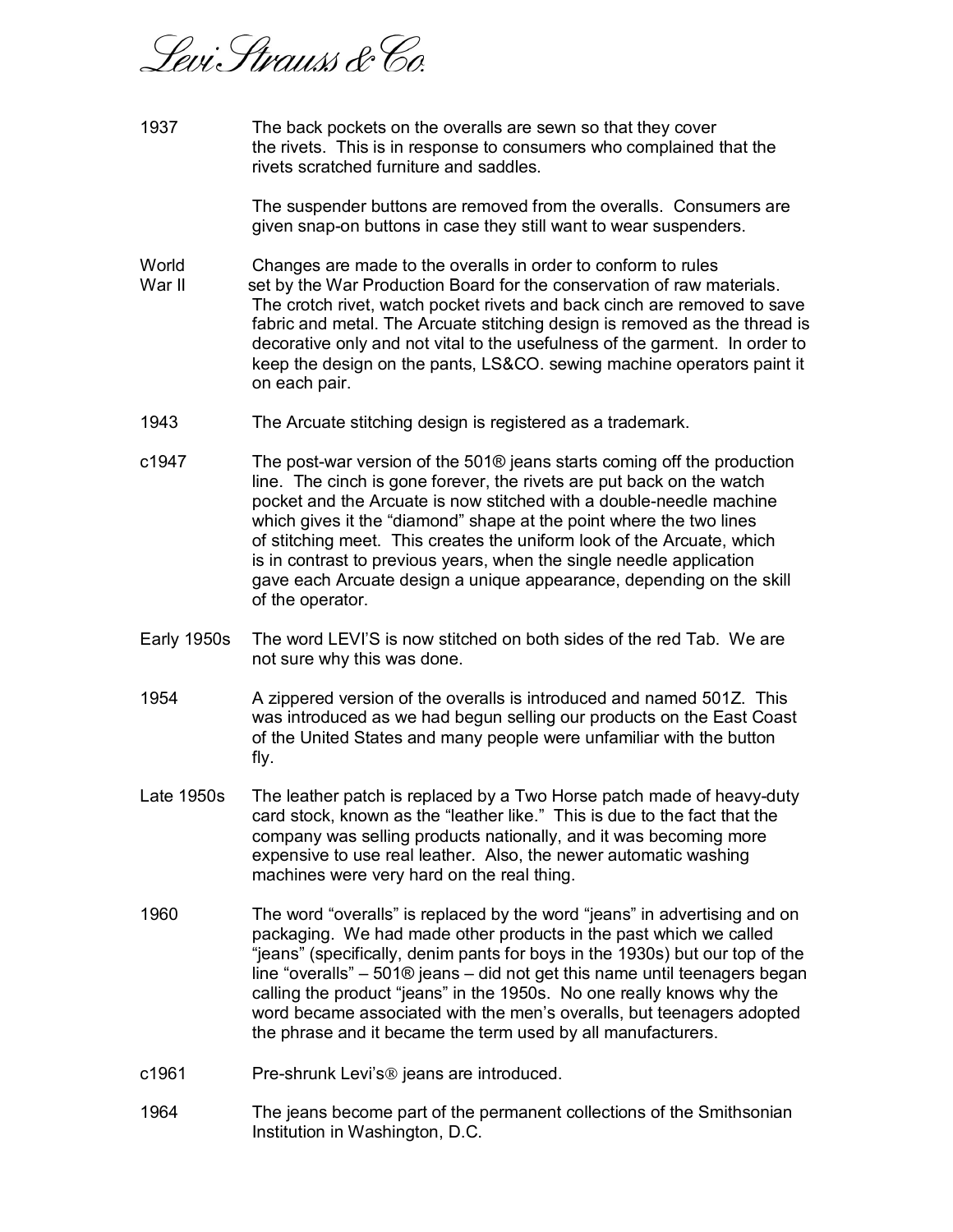Sevi: Strauss & Co

1937 The back pockets on the overalls are sewn so that they cover the rivets. This is in response to consumers who complained that the rivets scratched furniture and saddles.

> The suspender buttons are removed from the overalls. Consumers are given snap-on buttons in case they still want to wear suspenders.

World Changes are made to the overalls in order to conform to rules

- War II set by the War Production Board for the conservation of raw materials. The crotch rivet, watch pocket rivets and back cinch are removed to save fabric and metal. The Arcuate stitching design is removed as the thread is decorative only and not vital to the usefulness of the garment. In order to keep the design on the pants, LS&CO. sewing machine operators paint it on each pair.
- 1943 The Arcuate stitching design is registered as a trademark.
- c1947 The post-war version of the 501® jeans starts coming off the production line. The cinch is gone forever, the rivets are put back on the watch pocket and the Arcuate is now stitched with a double-needle machine which gives it the "diamond" shape at the point where the two lines of stitching meet. This creates the uniform look of the Arcuate, which is in contrast to previous years, when the single needle application gave each Arcuate design a unique appearance, depending on the skill of the operator.
- Early 1950s The word LEVI'S is now stitched on both sides of the red Tab. We are not sure why this was done.
- 1954 A zippered version of the overalls is introduced and named 501Z. This was introduced as we had begun selling our products on the East Coast of the United States and many people were unfamiliar with the button fly.
- Late 1950s The leather patch is replaced by a Two Horse patch made of heavy-duty card stock, known as the "leather like." This is due to the fact that the company was selling products nationally, and it was becoming more expensive to use real leather. Also, the newer automatic washing machines were very hard on the real thing.
- 1960 The word "overalls" is replaced by the word "jeans" in advertising and on packaging. We had made other products in the past which we called "jeans" (specifically, denim pants for boys in the 1930s) but our top of the line "overalls" – 501® jeans – did not get this name until teenagers began calling the product "jeans" in the 1950s. No one really knows why the word became associated with the men's overalls, but teenagers adopted the phrase and it became the term used by all manufacturers.
- c1961 Pre-shrunk Levi's @ jeans are introduced.
- 1964 The jeans become part of the permanent collections of the Smithsonian Institution in Washington, D.C.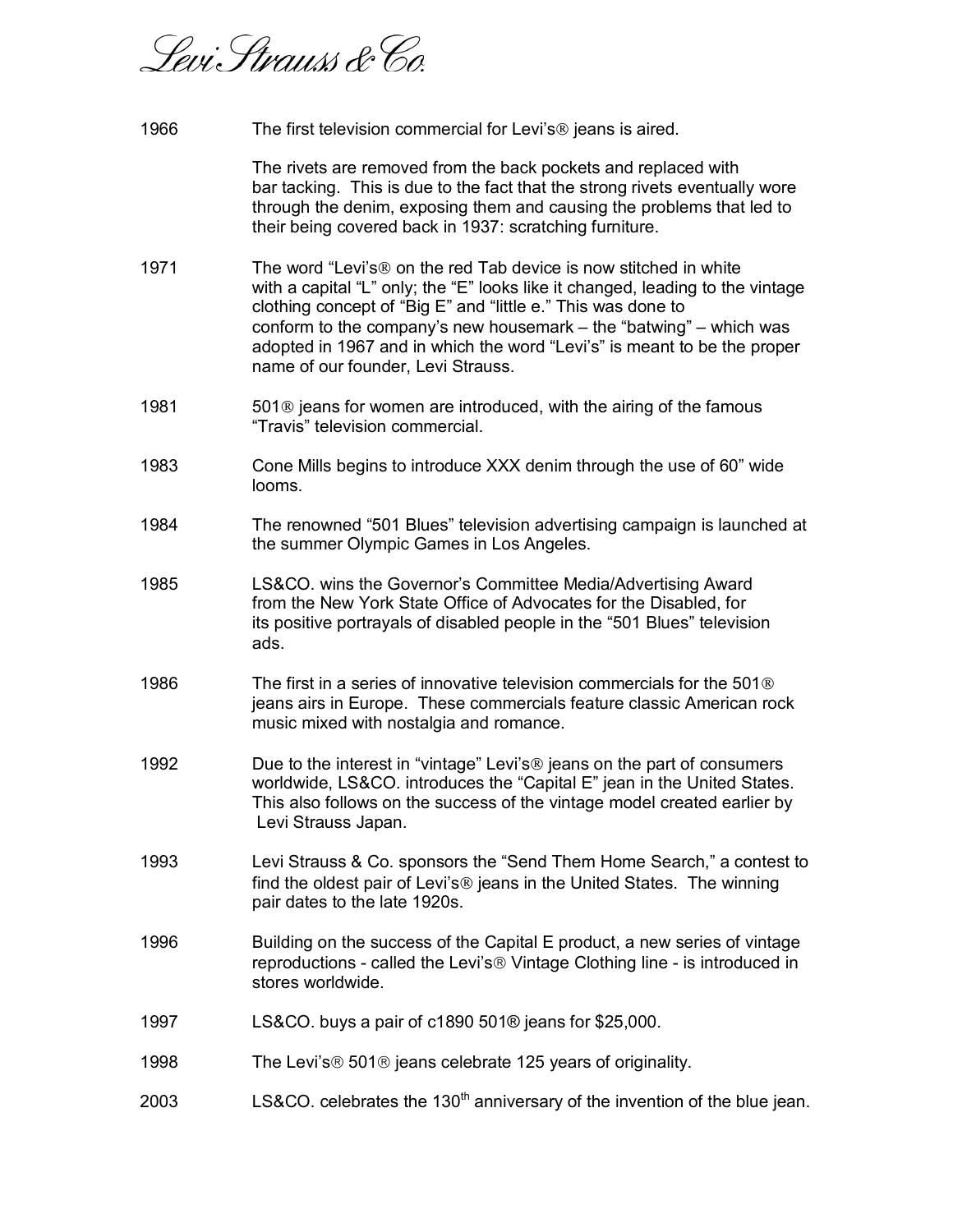Sevi: Strauss & Co

1966 The first television commercial for Levi's ® jeans is aired.

 The rivets are removed from the back pockets and replaced with bar tacking. This is due to the fact that the strong rivets eventually wore through the denim, exposing them and causing the problems that led to their being covered back in 1937: scratching furniture.

- 1971 The word "Levi's ® on the red Tab device is now stitched in white with a capital "L" only; the "E" looks like it changed, leading to the vintage clothing concept of "Big E" and "little e." This was done to conform to the company's new housemark – the "batwing" – which was adopted in 1967 and in which the word "Levi's" is meant to be the proper name of our founder, Levi Strauss.
- 1981 501 use interpretation are introduced, with the airing of the famous "Travis" television commercial.
- 1983 Cone Mills begins to introduce XXX denim through the use of 60" wide looms.
- 1984 The renowned "501 Blues" television advertising campaign is launched at the summer Olympic Games in Los Angeles.
- 1985 LS&CO. wins the Governor's Committee Media/Advertising Award from the New York State Office of Advocates for the Disabled, for its positive portrayals of disabled people in the "501 Blues" television ads.
- 1986 The first in a series of innovative television commercials for the 501<sup>®</sup> jeans airs in Europe. These commercials feature classic American rock music mixed with nostalgia and romance.
- 1992 Due to the interest in "vintage" Levi's ® jeans on the part of consumers worldwide, LS&CO. introduces the "Capital E" jean in the United States. This also follows on the success of the vintage model created earlier by Levi Strauss Japan.
- 1993 Levi Strauss & Co. sponsors the "Send Them Home Search," a contest to find the oldest pair of Levi's  $\circledR$  jeans in the United States. The winning pair dates to the late 1920s.
- 1996 Building on the success of the Capital E product, a new series of vintage reproductions - called the Levi's<sup>®</sup> Vintage Clothing line - is introduced in stores worldwide.
- 1997 LS&CO. buys a pair of c1890 501® jeans for \$25,000.
- 1998 The Levi's ® 501 ® jeans celebrate 125 years of originality.
- 2003 LS&CO. celebrates the 130<sup>th</sup> anniversary of the invention of the blue jean.